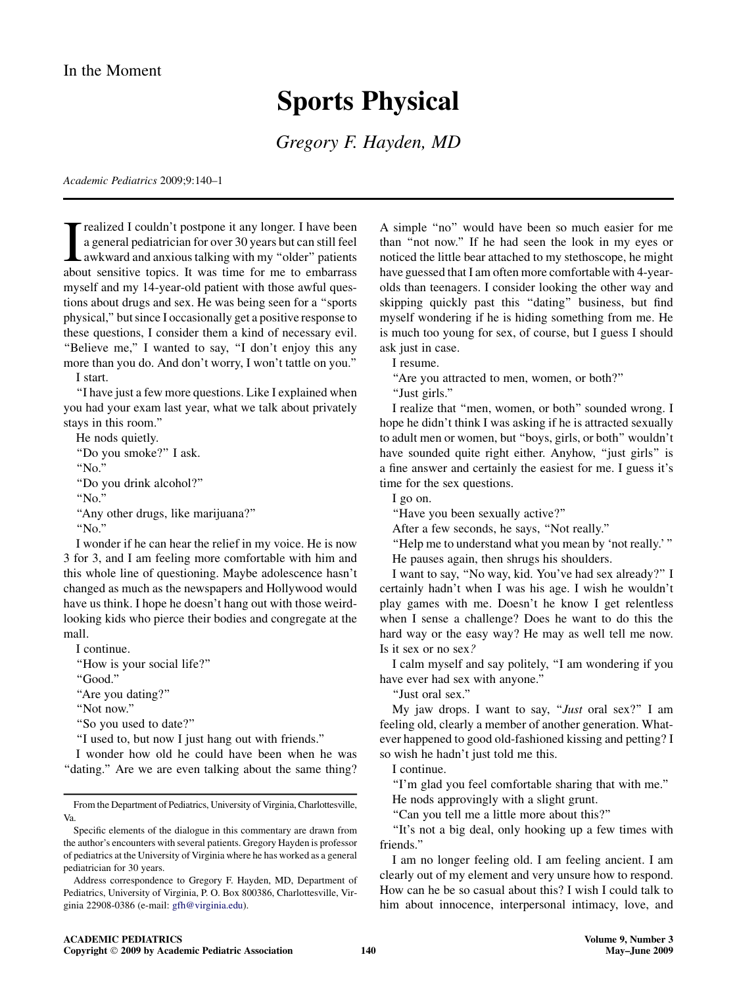## Sports Physical

Gregory F. Hayden, MD

Academic Pediatrics 2009;9:140–1

T realized I couldn't postpone it any longer. I have been<br>a general pediatrician for over 30 years but can still feel<br>awkward and anxious talking with my "older" patients<br>about sensitive topics. It was time for me to embar realized I couldn't postpone it any longer. I have been a general pediatrician for over 30 years but can still feel awkward and anxious talking with my ''older'' patients myself and my 14-year-old patient with those awful questions about drugs and sex. He was being seen for a ''sports physical,'' but since I occasionally get a positive response to these questions, I consider them a kind of necessary evil. "Believe me," I wanted to say, "I don't enjoy this any more than you do. And don't worry, I won't tattle on you.''

I start.

''I have just a few more questions. Like I explained when you had your exam last year, what we talk about privately stays in this room.''

He nods quietly.

''Do you smoke?'' I ask.

''No.''

''Do you drink alcohol?''

''No.''

''Any other drugs, like marijuana?''

''No.''

I wonder if he can hear the relief in my voice. He is now 3 for 3, and I am feeling more comfortable with him and this whole line of questioning. Maybe adolescence hasn't changed as much as the newspapers and Hollywood would have us think. I hope he doesn't hang out with those weirdlooking kids who pierce their bodies and congregate at the mall.

I continue.

''How is your social life?''

''Good.''

"Are you dating?"

''Not now.''

''So you used to date?''

''I used to, but now I just hang out with friends.''

I wonder how old he could have been when he was "dating." Are we are even talking about the same thing?

A simple ''no'' would have been so much easier for me than ''not now.'' If he had seen the look in my eyes or noticed the little bear attached to my stethoscope, he might have guessed that I am often more comfortable with 4-yearolds than teenagers. I consider looking the other way and skipping quickly past this ''dating'' business, but find myself wondering if he is hiding something from me. He is much too young for sex, of course, but I guess I should ask just in case.

I resume.

''Are you attracted to men, women, or both?''

''Just girls.''

I realize that ''men, women, or both'' sounded wrong. I hope he didn't think I was asking if he is attracted sexually to adult men or women, but ''boys, girls, or both'' wouldn't have sounded quite right either. Anyhow, "just girls" is a fine answer and certainly the easiest for me. I guess it's time for the sex questions.

I go on.

''Have you been sexually active?''

After a few seconds, he says, ''Not really.''

''Help me to understand what you mean by 'not really.' ''

He pauses again, then shrugs his shoulders.

I want to say, ''No way, kid. You've had sex already?'' I certainly hadn't when I was his age. I wish he wouldn't play games with me. Doesn't he know I get relentless when I sense a challenge? Does he want to do this the hard way or the easy way? He may as well tell me now. Is it sex or no sex?

I calm myself and say politely, ''I am wondering if you have ever had sex with anyone.''

''Just oral sex.''

My jaw drops. I want to say, "*Just* oral sex?" I am feeling old, clearly a member of another generation. Whatever happened to good old-fashioned kissing and petting? I so wish he hadn't just told me this.

I continue.

''I'm glad you feel comfortable sharing that with me.''

He nods approvingly with a slight grunt.

''Can you tell me a little more about this?''

''It's not a big deal, only hooking up a few times with friends.''

I am no longer feeling old. I am feeling ancient. I am clearly out of my element and very unsure how to respond. How can he be so casual about this? I wish I could talk to him about innocence, interpersonal intimacy, love, and

From the Department of Pediatrics, University of Virginia, Charlottesville, Va.

Specific elements of the dialogue in this commentary are drawn from the author's encounters with several patients. Gregory Hayden is professor of pediatrics at the University of Virginia where he has worked as a general pediatrician for 30 years.

Address correspondence to Gregory F. Hayden, MD, Department of Pediatrics, University of Virginia, P. O. Box 800386, Charlottesville, Virginia 22908-0386 (e-mail: [gfh@virginia.edu\)](mailto:gfh@virginia.edu).